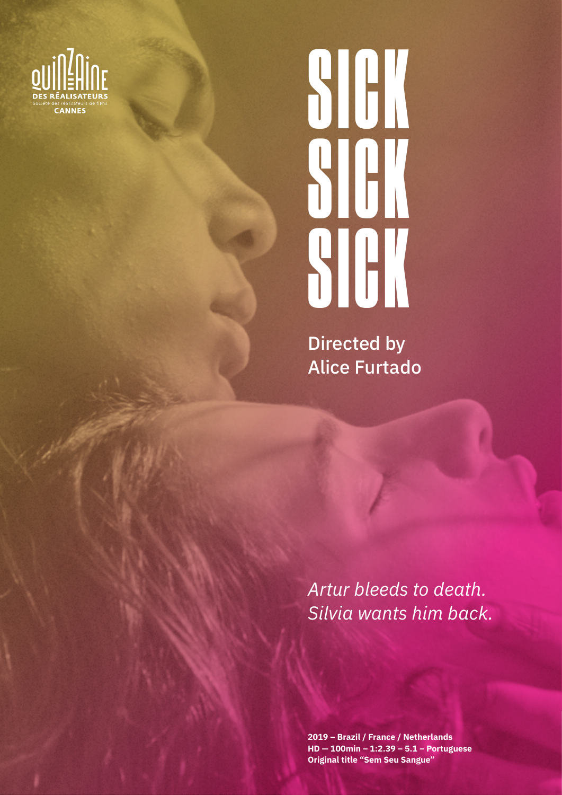

# SICK SICK SICK

Directed by Alice Furtado

*Artur bleeds to death. Silvia wants him back.*

**2019 – Brazil / France / Netherlands HD — 100min – 1:2.39 – 5.1 – Portuguese Original title "Sem Seu Sangue"**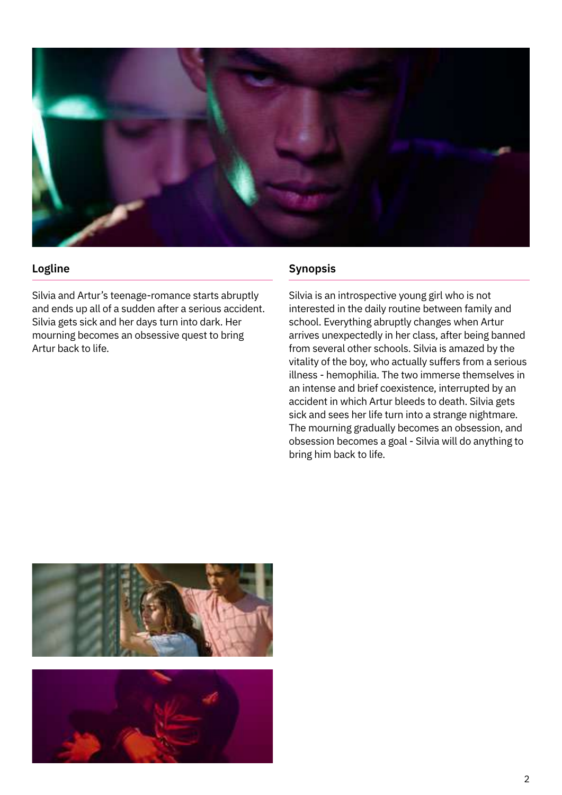

# **Logline**

Silvia and Artur's teenage-romance starts abruptly and ends up all of a sudden after a serious accident. Silvia gets sick and her days turn into dark. Her mourning becomes an obsessive quest to bring Artur back to life.

# **Synopsis**

Silvia is an introspective young girl who is not interested in the daily routine between family and school. Everything abruptly changes when Artur arrives unexpectedly in her class, after being banned from several other schools. Silvia is amazed by the vitality of the boy, who actually suffers from a serious illness - hemophilia. The two immerse themselves in an intense and brief coexistence, interrupted by an accident in which Artur bleeds to death. Silvia gets sick and sees her life turn into a strange nightmare. The mourning gradually becomes an obsession, and obsession becomes a goal - Silvia will do anything to bring him back to life.

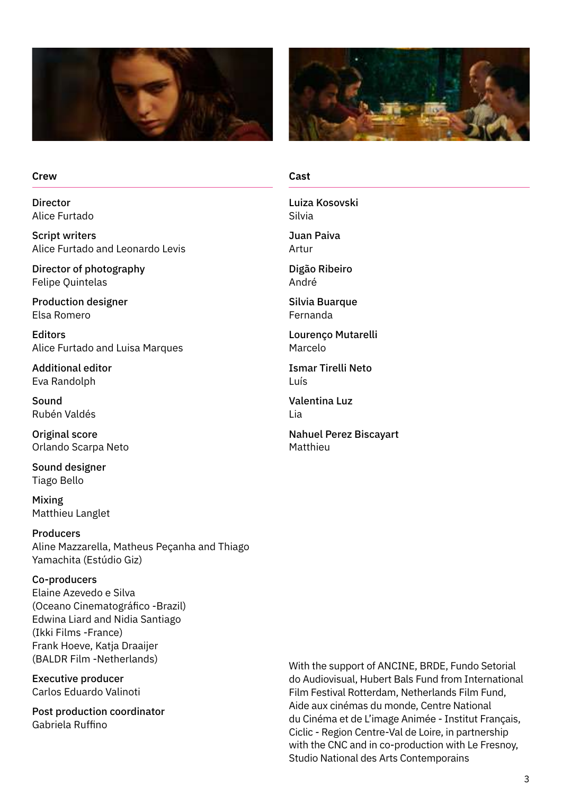



#### **Crew**

Director Alice Furtado

Script writers Alice Furtado and Leonardo Levis

Director of photography Felipe Quintelas

Production designer Elsa Romero

Editors Alice Furtado and Luisa Marques

Additional editor Eva Randolph

Sound Rubén Valdés

Original score Orlando Scarpa Neto

Sound designer Tiago Bello

Mixing Matthieu Langlet

Producers Aline Mazzarella, Matheus Peçanha and Thiago Yamachita (Estúdio Giz)

#### Co-producers

Elaine Azevedo e Silva (Oceano Cinematográfico -Brazil) Edwina Liard and Nidia Santiago (Ikki Films -France) Frank Hoeve, Katja Draaijer (BALDR Film -Netherlands)

Executive producer Carlos Eduardo Valinoti

Post production coordinator Gabriela Ruffino

#### **Cast**

Luiza Kosovski Silvia

Juan Paiva Artur

Digão Ribeiro André

Silvia Buarque Fernanda

Lourenço Mutarelli Marcelo

Ismar Tirelli Neto Luís

Valentina Luz Lia

Nahuel Perez Biscayart Matthieu

With the support of ANCINE, BRDE, Fundo Setorial do Audiovisual, Hubert Bals Fund from International Film Festival Rotterdam, Netherlands Film Fund, Aide aux cinémas du monde, Centre National du Cinéma et de L'image Animée - Institut Français, Ciclic - Region Centre-Val de Loire, in partnership with the CNC and in co-production with Le Fresnoy, Studio National des Arts Contemporains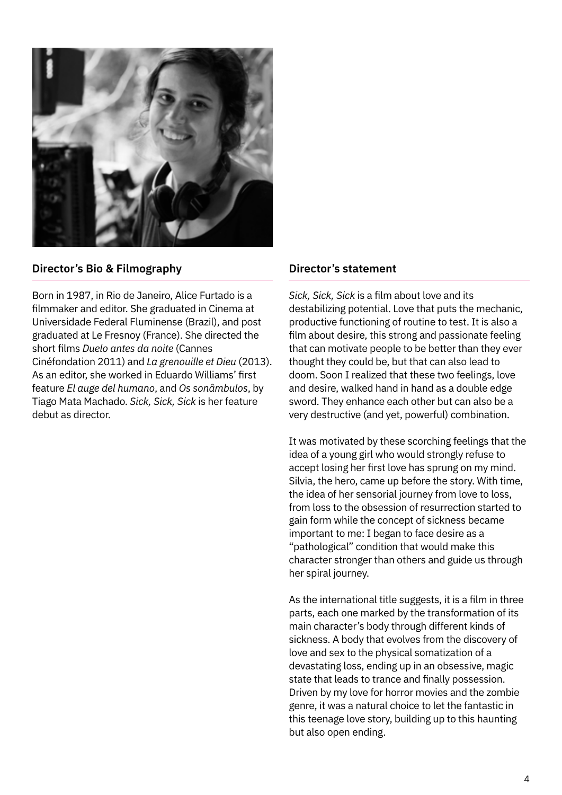

# **Director's Bio & Filmography**

Born in 1987, in Rio de Janeiro, Alice Furtado is a filmmaker and editor. She graduated in Cinema at Universidade Federal Fluminense (Brazil), and post graduated at Le Fresnoy (France). She directed the short films *Duelo antes da noite* (Cannes Cinéfondation 2011) and *La grenouille et Dieu* (2013). As an editor, she worked in Eduardo Williams' first feature *El auge del humano*, and *Os sonâmbulos*, by Tiago Mata Machado. *Sick, Sick, Sick* is her feature debut as director.

#### **Director's statement**

*Sick, Sick, Sick* is a film about love and its destabilizing potential. Love that puts the mechanic, productive functioning of routine to test. It is also a film about desire, this strong and passionate feeling that can motivate people to be better than they ever thought they could be, but that can also lead to doom. Soon I realized that these two feelings, love and desire, walked hand in hand as a double edge sword. They enhance each other but can also be a very destructive (and yet, powerful) combination.

It was motivated by these scorching feelings that the idea of a young girl who would strongly refuse to accept losing her first love has sprung on my mind. Silvia, the hero, came up before the story. With time, the idea of her sensorial journey from love to loss, from loss to the obsession of resurrection started to gain form while the concept of sickness became important to me: I began to face desire as a "pathological" condition that would make this character stronger than others and guide us through her spiral journey.

As the international title suggests, it is a film in three parts, each one marked by the transformation of its main character's body through different kinds of sickness. A body that evolves from the discovery of love and sex to the physical somatization of a devastating loss, ending up in an obsessive, magic state that leads to trance and finally possession. Driven by my love for horror movies and the zombie genre, it was a natural choice to let the fantastic in this teenage love story, building up to this haunting but also open ending.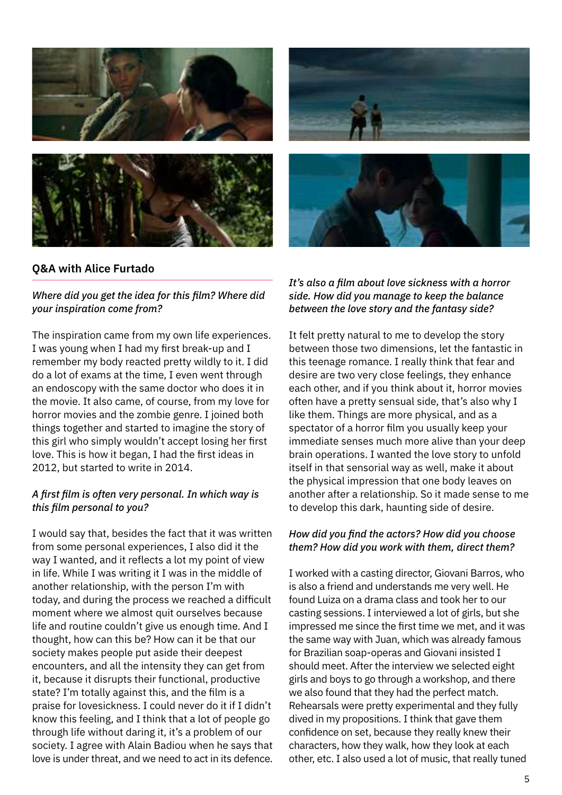

# **Q&A with Alice Furtado**

# *Where did you get the idea for this film? Where did your inspiration come from?*

The inspiration came from my own life experiences. I was young when I had my first break-up and I remember my body reacted pretty wildly to it. I did do a lot of exams at the time, I even went through an endoscopy with the same doctor who does it in the movie. It also came, of course, from my love for horror movies and the zombie genre. I joined both things together and started to imagine the story of this girl who simply wouldn't accept losing her first love. This is how it began, I had the first ideas in 2012, but started to write in 2014.

# *A first film is often very personal. In which way is this film personal to you?*

I would say that, besides the fact that it was written from some personal experiences, I also did it the way I wanted, and it reflects a lot my point of view in life. While I was writing it I was in the middle of another relationship, with the person I'm with today, and during the process we reached a difficult moment where we almost quit ourselves because life and routine couldn't give us enough time. And I thought, how can this be? How can it be that our society makes people put aside their deepest encounters, and all the intensity they can get from it, because it disrupts their functional, productive state? I'm totally against this, and the film is a praise for lovesickness. I could never do it if I didn't know this feeling, and I think that a lot of people go through life without daring it, it's a problem of our society. I agree with Alain Badiou when he says that love is under threat, and we need to act in its defence.



It felt pretty natural to me to develop the story between those two dimensions, let the fantastic in this teenage romance. I really think that fear and desire are two very close feelings, they enhance each other, and if you think about it, horror movies often have a pretty sensual side, that's also why I like them. Things are more physical, and as a spectator of a horror film you usually keep your immediate senses much more alive than your deep brain operations. I wanted the love story to unfold itself in that sensorial way as well, make it about the physical impression that one body leaves on another after a relationship. So it made sense to me to develop this dark, haunting side of desire.

# *How did you find the actors? How did you choose them? How did you work with them, direct them?*

I worked with a casting director, Giovani Barros, who is also a friend and understands me very well. He found Luiza on a drama class and took her to our casting sessions. I interviewed a lot of girls, but she impressed me since the first time we met, and it was the same way with Juan, which was already famous for Brazilian soap-operas and Giovani insisted I should meet. After the interview we selected eight girls and boys to go through a workshop, and there we also found that they had the perfect match. Rehearsals were pretty experimental and they fully dived in my propositions. I think that gave them confidence on set, because they really knew their characters, how they walk, how they look at each other, etc. I also used a lot of music, that really tuned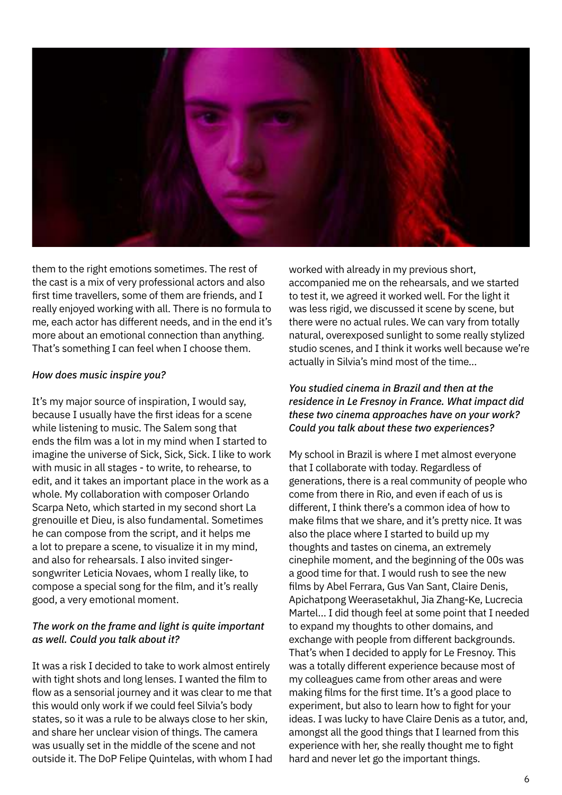

them to the right emotions sometimes. The rest of the cast is a mix of very professional actors and also first time travellers, some of them are friends, and I really enjoyed working with all. There is no formula to me, each actor has different needs, and in the end it's more about an emotional connection than anything. That's something I can feel when I choose them.

#### *How does music inspire you?*

It's my major source of inspiration, I would say, because I usually have the first ideas for a scene while listening to music. The Salem song that ends the film was a lot in my mind when I started to imagine the universe of Sick, Sick, Sick. I like to work with music in all stages - to write, to rehearse, to edit, and it takes an important place in the work as a whole. My collaboration with composer Orlando Scarpa Neto, which started in my second short La grenouille et Dieu, is also fundamental. Sometimes he can compose from the script, and it helps me a lot to prepare a scene, to visualize it in my mind, and also for rehearsals. I also invited singersongwriter Leticia Novaes, whom I really like, to compose a special song for the film, and it's really good, a very emotional moment.

#### *The work on the frame and light is quite important as well. Could you talk about it?*

It was a risk I decided to take to work almost entirely with tight shots and long lenses. I wanted the film to flow as a sensorial journey and it was clear to me that this would only work if we could feel Silvia's body states, so it was a rule to be always close to her skin, and share her unclear vision of things. The camera was usually set in the middle of the scene and not outside it. The DoP Felipe Quintelas, with whom I had worked with already in my previous short, accompanied me on the rehearsals, and we started to test it, we agreed it worked well. For the light it was less rigid, we discussed it scene by scene, but there were no actual rules. We can vary from totally natural, overexposed sunlight to some really stylized studio scenes, and I think it works well because we're actually in Silvia's mind most of the time...

#### *You studied cinema in Brazil and then at the residence in Le Fresnoy in France. What impact did these two cinema approaches have on your work? Could you talk about these two experiences?*

My school in Brazil is where I met almost everyone that I collaborate with today. Regardless of generations, there is a real community of people who come from there in Rio, and even if each of us is different, I think there's a common idea of how to make films that we share, and it's pretty nice. It was also the place where I started to build up my thoughts and tastes on cinema, an extremely cinephile moment, and the beginning of the 00s was a good time for that. I would rush to see the new films by Abel Ferrara, Gus Van Sant, Claire Denis, Apichatpong Weerasetakhul, Jia Zhang-Ke, Lucrecia Martel… I did though feel at some point that I needed to expand my thoughts to other domains, and exchange with people from different backgrounds. That's when I decided to apply for Le Fresnoy. This was a totally different experience because most of my colleagues came from other areas and were making films for the first time. It's a good place to experiment, but also to learn how to fight for your ideas. I was lucky to have Claire Denis as a tutor, and, amongst all the good things that I learned from this experience with her, she really thought me to fight hard and never let go the important things.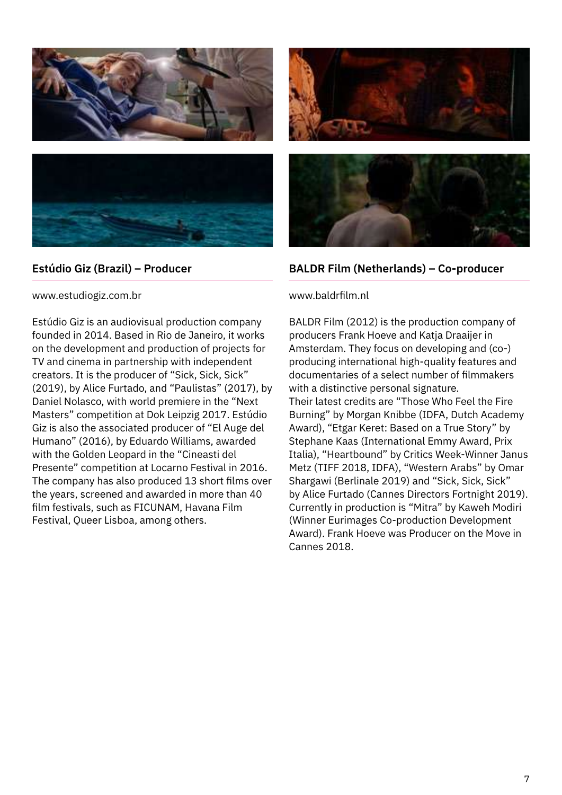



# **Estúdio Giz (Brazil) – Producer**

www.estudiogiz.com.br

Estúdio Giz is an audiovisual production company founded in 2014. Based in Rio de Janeiro, it works on the development and production of projects for TV and cinema in partnership with independent creators. It is the producer of "Sick, Sick, Sick" (2019), by Alice Furtado, and "Paulistas" (2017), by Daniel Nolasco, with world premiere in the "Next Masters" competition at Dok Leipzig 2017. Estúdio Giz is also the associated producer of "El Auge del Humano" (2016), by Eduardo Williams, awarded with the Golden Leopard in the "Cineasti del Presente" competition at Locarno Festival in 2016. The company has also produced 13 short films over the years, screened and awarded in more than 40 film festivals, such as FICUNAM, Havana Film Festival, Queer Lisboa, among others.





# **BALDR Film (Netherlands) – Co-producer**

#### www.baldrfilm.nl

BALDR Film (2012) is the production company of producers Frank Hoeve and Katja Draaijer in Amsterdam. They focus on developing and (co-) producing international high-quality features and documentaries of a select number of filmmakers with a distinctive personal signature. Their latest credits are "Those Who Feel the Fire Burning" by Morgan Knibbe (IDFA, Dutch Academy Award), "Etgar Keret: Based on a True Story" by Stephane Kaas (International Emmy Award, Prix Italia), "Heartbound" by Critics Week-Winner Janus Metz (TIFF 2018, IDFA), "Western Arabs" by Omar Shargawi (Berlinale 2019) and "Sick, Sick, Sick" by Alice Furtado (Cannes Directors Fortnight 2019). Currently in production is "Mitra" by Kaweh Modiri (Winner Eurimages Co-production Development Award). Frank Hoeve was Producer on the Move in Cannes 2018.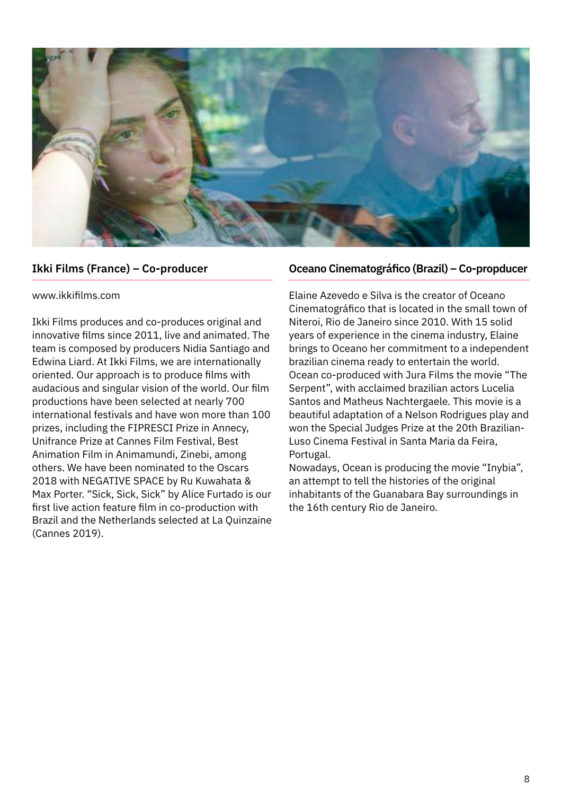

# **Ikki Films (France) – Co-producer**

#### www.ikkifilms.com

Ikki Films produces and co-produces original and innovative films since 2011, live and animated. The team is composed by producers Nidia Santiago and Edwina Liard. At Ikki Films, we are internationally oriented. Our approach is to produce films with audacious and singular vision of the world. Our film productions have been selected at nearly 700 international festivals and have won more than 100 prizes, including the FIPRESCI Prize in Annecy, Unifrance Prize at Cannes Film Festival, Best Animation Film in Animamundi, Zinebi, among others. We have been nominated to the Oscars 2018 with NEGATIVE SPACE by Ru Kuwahata & Max Porter. "Sick, Sick, Sick" by Alice Furtado is our first live action feature film in co-production with Brazil and the Netherlands selected at La Quinzaine (Cannes 2019).

#### **Oceano Cinematográfico (Brazil) – Co-propducer**

Elaine Azevedo e Silva is the creator of Oceano Cinematográfico that is located in the small town of Niteroi, Rio de Janeiro since 2010. With 15 solid years of experience in the cinema industry, Elaine brings to Oceano her commitment to a independent brazilian cinema ready to entertain the world. Ocean co-produced with Jura Films the movie "The Serpent", with acclaimed brazilian actors Lucelia Santos and Matheus Nachtergaele. This movie is a beautiful adaptation of a Nelson Rodrigues play and won the Special Judges Prize at the 20th Brazilian-Luso Cinema Festival in Santa Maria da Feira, Portugal.

Nowadays, Ocean is producing the movie "Inybia", an attempt to tell the histories of the original inhabitants of the Guanabara Bay surroundings in the 16th century Rio de Janeiro.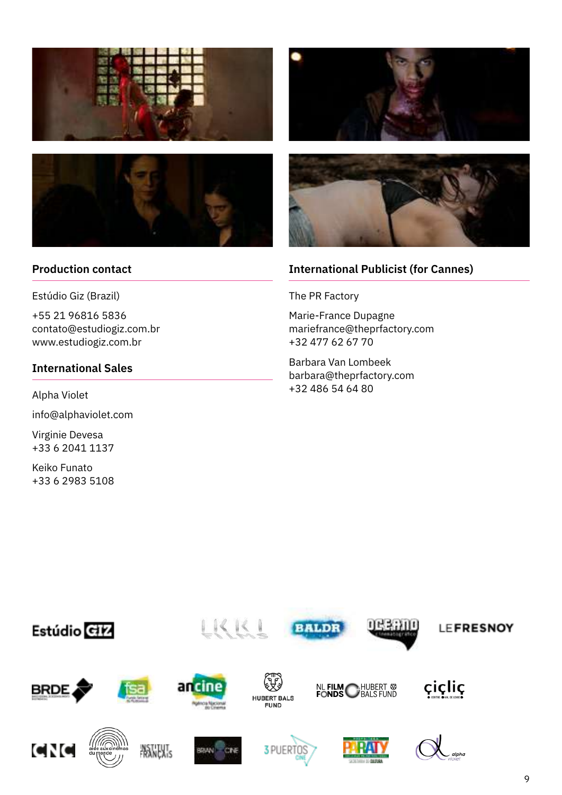



# **Production contact**

Estúdio Giz (Brazil)

+55 21 96816 5836 contato@estudiogiz.com.br www.estudiogiz.com.br

# **International Sales**

Alpha Violet

info@alphaviolet.com

Virginie Devesa +33 6 2041 1137

Keiko Funato +33 6 2983 5108





# **International Publicist (for Cannes)**

The PR Factory

Marie-France Dupagne mariefrance@theprfactory.com +32 477 62 67 70

Barbara Van Lombeek barbara@theprfactory.com +32 486 54 64 80